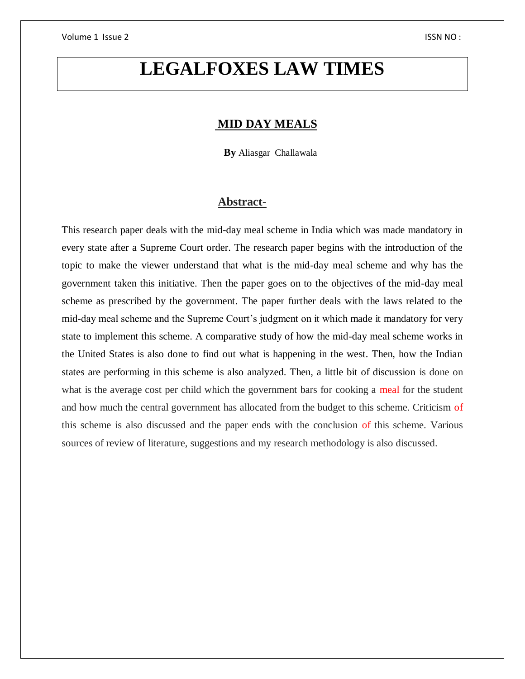# **LEGALFOXES LAW TIMES**

# **MID DAY MEALS**

 **By** Aliasgar Challawala

#### **Abstract-**

This research paper deals with the mid-day meal scheme in India which was made mandatory in every state after a Supreme Court order. The research paper begins with the introduction of the topic to make the viewer understand that what is the mid-day meal scheme and why has the government taken this initiative. Then the paper goes on to the objectives of the mid-day meal scheme as prescribed by the government. The paper further deals with the laws related to the mid-day meal scheme and the Supreme Court's judgment on it which made it mandatory for very state to implement this scheme. A comparative study of how the mid-day meal scheme works in the United States is also done to find out what is happening in the west. Then, how the Indian states are performing in this scheme is also analyzed. Then, a little bit of discussion is done on what is the average cost per child which the government bars for cooking a meal for the student and how much the central government has allocated from the budget to this scheme. Criticism of this scheme is also discussed and the paper ends with the conclusion of this scheme. Various sources of review of literature, suggestions and my research methodology is also discussed.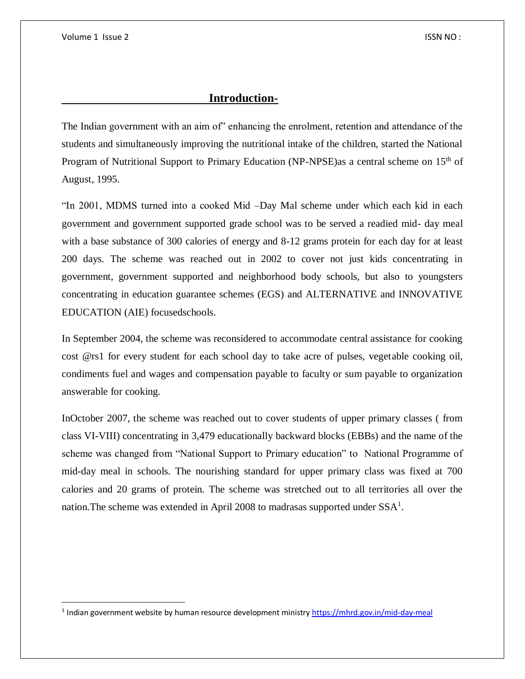$\overline{a}$ 

#### **Introduction-**

The Indian government with an aim of" enhancing the enrolment, retention and attendance of the students and simultaneously improving the nutritional intake of the children, started the National Program of Nutritional Support to Primary Education (NP-NPSE) as a central scheme on 15<sup>th</sup> of August, 1995.

"In 2001, MDMS turned into a cooked Mid –Day Mal scheme under which each kid in each government and government supported grade school was to be served a readied mid- day meal with a base substance of 300 calories of energy and 8-12 grams protein for each day for at least 200 days. The scheme was reached out in 2002 to cover not just kids concentrating in government, government supported and neighborhood body schools, but also to youngsters concentrating in education guarantee schemes (EGS) and ALTERNATIVE and INNOVATIVE EDUCATION (AIE) focusedschools.

In September 2004, the scheme was reconsidered to accommodate central assistance for cooking cost @rs1 for every student for each school day to take acre of pulses, vegetable cooking oil, condiments fuel and wages and compensation payable to faculty or sum payable to organization answerable for cooking.

InOctober 2007, the scheme was reached out to cover students of upper primary classes ( from class VI-VIII) concentrating in 3,479 educationally backward blocks (EBBs) and the name of the scheme was changed from "National Support to Primary education" to National Programme of mid-day meal in schools. The nourishing standard for upper primary class was fixed at 700 calories and 20 grams of protein. The scheme was stretched out to all territories all over the nation. The scheme was extended in April 2008 to madrasas supported under  $SSA<sup>1</sup>$ .

<sup>&</sup>lt;sup>1</sup> Indian government website by human resource development ministry<https://mhrd.gov.in/mid-day-meal>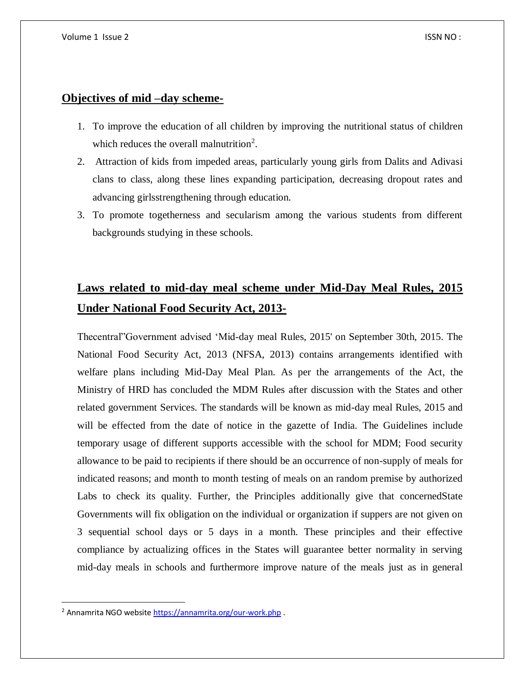#### **Objectives of mid –day scheme-**

- 1. To improve the education of all children by improving the nutritional status of children which reduces the overall malnutrition<sup>2</sup>.
- 2. Attraction of kids from impeded areas, particularly young girls from Dalits and Adivasi clans to class, along these lines expanding participation, decreasing dropout rates and advancing girlsstrengthening through education.
- 3. To promote togetherness and secularism among the various students from different backgrounds studying in these schools.

# **Laws related to mid-day meal scheme under Mid-Day Meal Rules, 2015 Under National Food Security Act, 2013-**

Thecentral"Government advised 'Mid-day meal Rules, 2015' on September 30th, 2015. The National Food Security Act, 2013 (NFSA, 2013) contains arrangements identified with welfare plans including Mid-Day Meal Plan. As per the arrangements of the Act, the Ministry of HRD has concluded the MDM Rules after discussion with the States and other related government Services. The standards will be known as mid-day meal Rules, 2015 and will be effected from the date of notice in the gazette of India. The Guidelines include temporary usage of different supports accessible with the school for MDM; Food security allowance to be paid to recipients if there should be an occurrence of non-supply of meals for indicated reasons; and month to month testing of meals on an random premise by authorized Labs to check its quality. Further, the Principles additionally give that concernedState Governments will fix obligation on the individual or organization if suppers are not given on 3 sequential school days or 5 days in a month. These principles and their effective compliance by actualizing offices in the States will guarantee better normality in serving mid-day meals in schools and furthermore improve nature of the meals just as in general

 $\overline{a}$ 

<sup>2</sup> Annamrita NGO websit[e https://annamrita.org/our-work.php](https://annamrita.org/our-work.php) .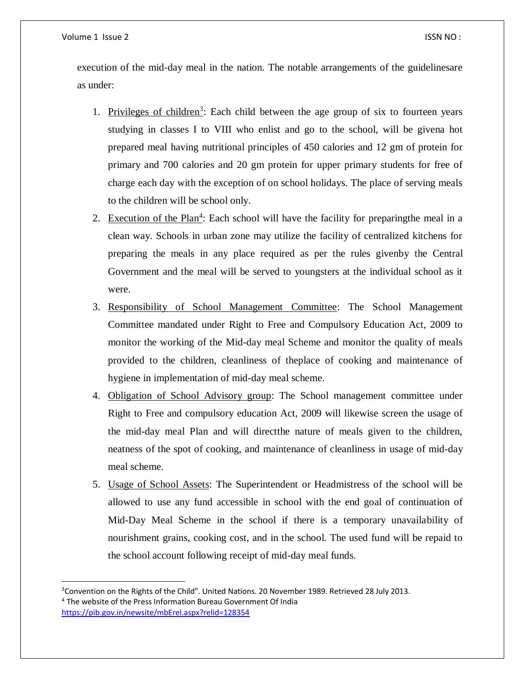$\overline{a}$ 

execution of the mid-day meal in the nation. The notable arrangements of the guidelinesare as under:

- 1. Privileges of children<sup>3</sup>: Each child between the age group of six to fourteen years studying in classes I to VIII who enlist and go to the school, will be givena hot prepared meal having nutritional principles of 450 calories and 12 gm of protein for primary and 700 calories and 20 gm protein for upper primary students for free of charge each day with the exception of on school holidays. The place of serving meals to the children will be school only.
- 2. Execution of the Plan<sup>4</sup>: Each school will have the facility for preparing the meal in a clean way. Schools in urban zone may utilize the facility of centralized kitchens for preparing the meals in any place required as per the rules givenby the Central Government and the meal will be served to youngsters at the individual school as it were.
- 3. Responsibility of School Management Committee: The School Management Committee mandated under Right to Free and Compulsory Education Act, 2009 to monitor the working of the Mid-day meal Scheme and monitor the quality of meals provided to the children, cleanliness of theplace of cooking and maintenance of hygiene in implementation of mid-day meal scheme.
- 4. Obligation of School Advisory group: The School management committee under Right to Free and compulsory education Act, 2009 will likewise screen the usage of the mid-day meal Plan and will directthe nature of meals given to the children, neatness of the spot of cooking, and maintenance of cleanliness in usage of mid-day meal scheme.
- 5. Usage of School Assets: The Superintendent or Headmistress of the school will be allowed to use any fund accessible in school with the end goal of continuation of Mid-Day Meal Scheme in the school if there is a temporary unavailability of nourishment grains, cooking cost, and in the school. The used fund will be repaid to the school account following receipt of mid-day meal funds.

<sup>&</sup>lt;sup>3</sup>Convention on the Rights of the Child". United Nations. 20 November 1989. Retrieved 28 July 2013. <sup>4</sup> The website of the Press Information Bureau Government Of India <https://pib.gov.in/newsite/mbErel.aspx?relid=128354>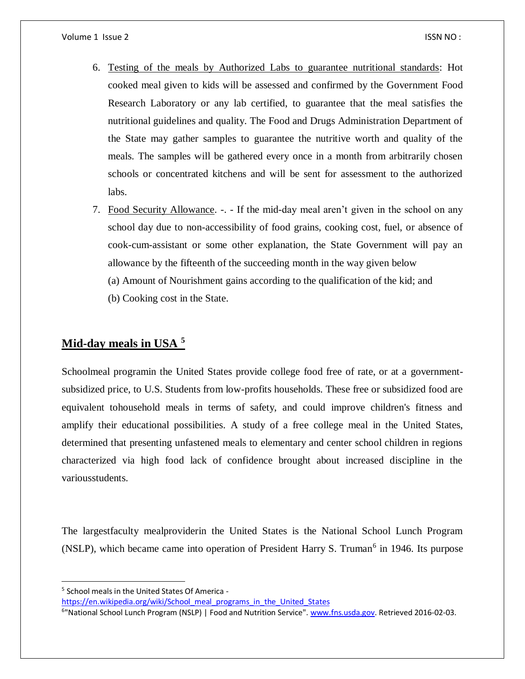- 6. Testing of the meals by Authorized Labs to guarantee nutritional standards: Hot cooked meal given to kids will be assessed and confirmed by the Government Food Research Laboratory or any lab certified, to guarantee that the meal satisfies the nutritional guidelines and quality. The Food and Drugs Administration Department of the State may gather samples to guarantee the nutritive worth and quality of the meals. The samples will be gathered every once in a month from arbitrarily chosen schools or concentrated kitchens and will be sent for assessment to the authorized labs.
- 7. Food Security Allowance. -. If the mid-day meal aren't given in the school on any school day due to non-accessibility of food grains, cooking cost, fuel, or absence of cook-cum-assistant or some other explanation, the State Government will pay an allowance by the fifteenth of the succeeding month in the way given below
	- (a) Amount of Nourishment gains according to the qualification of the kid; and
	- (b) Cooking cost in the State.

# **Mid-day meals in USA <sup>5</sup>**

Schoolmeal programin the United States provide college food free of rate, or at a governmentsubsidized price, to U.S. Students from low-profits households. These free or subsidized food are equivalent tohousehold meals in terms of safety, and could improve children's fitness and amplify their educational possibilities. A study of a free college meal in the United States, determined that presenting unfastened meals to elementary and center school children in regions characterized via high food lack of confidence brought about increased discipline in the variousstudents.

The largestfaculty mealproviderin the United States is the National School Lunch Program (NSLP), which became came into operation of President Harry S. Truman<sup>6</sup> in 1946. Its purpose

 $\overline{a}$ 

<sup>&</sup>lt;sup>5</sup> School meals in the United States Of America -

[https://en.wikipedia.org/wiki/School\\_meal\\_programs\\_in\\_the\\_United\\_States](https://en.wikipedia.org/wiki/School_meal_programs_in_the_United_States)

<sup>&</sup>lt;sup>6</sup>"National School Lunch Program (NSLP) | Food and Nutrition Service". [www.fns.usda.gov.](http://www.fns.usda.gov/) Retrieved 2016-02-03.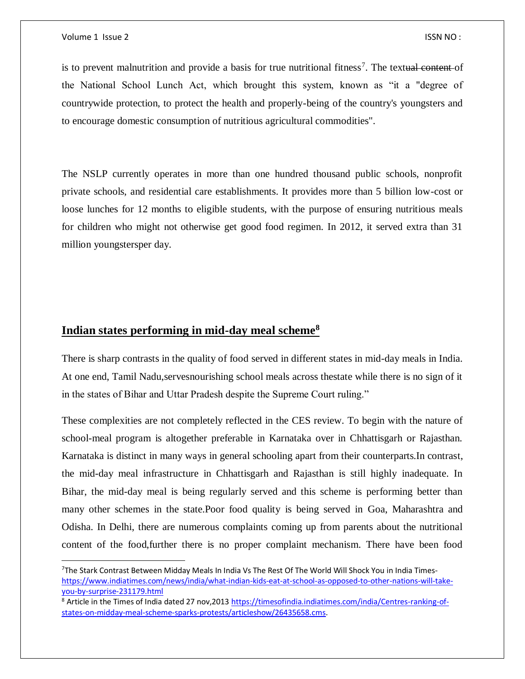$\overline{\phantom{a}}$ 

is to prevent malnutrition and provide a basis for true nutritional fitness<sup>7</sup>. The textual content of the National School Lunch Act, which brought this system, known as "it a "degree of countrywide protection, to protect the health and properly-being of the country's youngsters and to encourage domestic consumption of nutritious agricultural commodities".

The NSLP currently operates in more than one hundred thousand public schools, nonprofit private schools, and residential care establishments. It provides more than 5 billion low-cost or loose lunches for 12 months to eligible students, with the purpose of ensuring nutritious meals for children who might not otherwise get good food regimen. In 2012, it served extra than 31 million youngstersper day.

### **Indian states performing in mid-day meal scheme<sup>8</sup>**

There is sharp contrasts in the quality of food served in different states in mid-day meals in India. At one end, Tamil Nadu,servesnourishing school meals across thestate while there is no sign of it in the states of Bihar and Uttar Pradesh despite the Supreme Court ruling."

These complexities are not completely reflected in the CES review. To begin with the nature of school-meal program is altogether preferable in Karnataka over in Chhattisgarh or Rajasthan. Karnataka is distinct in many ways in general schooling apart from their counterparts.In contrast, the mid-day meal infrastructure in Chhattisgarh and Rajasthan is still highly inadequate. In Bihar, the mid-day meal is being regularly served and this scheme is performing better than many other schemes in the state.Poor food quality is being served in Goa, Maharashtra and Odisha. In Delhi, there are numerous complaints coming up from parents about the nutritional content of the food,further there is no proper complaint mechanism. There have been food

<sup>&</sup>lt;sup>7</sup>The Stark Contrast Between Midday Meals In India Vs The Rest Of The World Will Shock You in India Times[https://www.indiatimes.com/news/india/what-indian-kids-eat-at-school-as-opposed-to-other-nations-will-take](https://www.indiatimes.com/news/india/what-indian-kids-eat-at-school-as-opposed-to-other-nations-will-take-you-by-surprise-231179.html)[you-by-surprise-231179.html](https://www.indiatimes.com/news/india/what-indian-kids-eat-at-school-as-opposed-to-other-nations-will-take-you-by-surprise-231179.html)

<sup>8</sup> Article in the Times of India dated 27 nov,201[3 https://timesofindia.indiatimes.com/india/Centres-ranking-of](https://timesofindia.indiatimes.com/india/Centres-ranking-of-states-on-midday-meal-scheme-sparks-protests/articleshow/26435658.cms)[states-on-midday-meal-scheme-sparks-protests/articleshow/26435658.cms.](https://timesofindia.indiatimes.com/india/Centres-ranking-of-states-on-midday-meal-scheme-sparks-protests/articleshow/26435658.cms)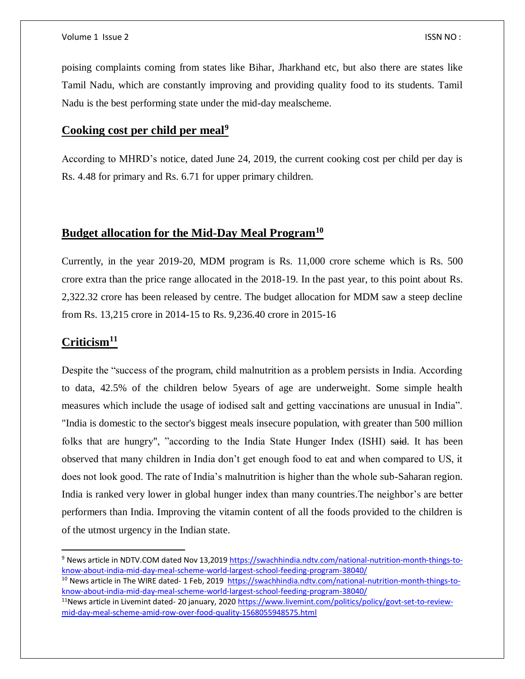poising complaints coming from states like Bihar, Jharkhand etc, but also there are states like Tamil Nadu, which are constantly improving and providing quality food to its students. Tamil Nadu is the best performing state under the mid-day mealscheme.

#### **Cooking cost per child per meal<sup>9</sup>**

According to MHRD's notice, dated June 24, 2019, the current cooking cost per child per day is Rs. 4.48 for primary and Rs. 6.71 for upper primary children.

#### **Budget allocation for the Mid-Day Meal Program<sup>10</sup>**

Currently, in the year 2019-20, MDM program is Rs. 11,000 crore scheme which is Rs. 500 crore extra than the price range allocated in the 2018-19. In the past year, to this point about Rs. 2,322.32 crore has been released by centre. The budget allocation for MDM saw a steep decline from Rs. 13,215 crore in 2014-15 to Rs. 9,236.40 crore in 2015-16

# **Criticism<sup>11</sup>**

 $\overline{\phantom{a}}$ 

Despite the "success of the program, child malnutrition as a problem persists in India. According to data, 42.5% of the children below 5years of age are underweight. Some simple health measures which include the usage of iodised salt and getting vaccinations are unusual in India". "India is domestic to the sector's biggest meals insecure population, with greater than 500 million folks that are hungry", "according to the India State Hunger Index (ISHI) said. It has been observed that many children in India don't get enough food to eat and when compared to US, it does not look good. The rate of India's malnutrition is higher than the whole sub-Saharan region. India is ranked very lower in global hunger index than many countries.The neighbor's are better performers than India. Improving the vitamin content of all the foods provided to the children is of the utmost urgency in the Indian state.

<sup>10</sup> News article in The WIRE dated- 1 Feb, 2019 [https://swachhindia.ndtv.com/national-nutrition-month-things-to](https://swachhindia.ndtv.com/national-nutrition-month-things-to-know-about-india-mid-day-meal-scheme-world-largest-school-feeding-program-38040/)[know-about-india-mid-day-meal-scheme-world-largest-school-feeding-program-38040/](https://swachhindia.ndtv.com/national-nutrition-month-things-to-know-about-india-mid-day-meal-scheme-world-largest-school-feeding-program-38040/)

<sup>9</sup> News article in NDTV.COM dated Nov 13,2019 [https://swachhindia.ndtv.com/national-nutrition-month-things-to](https://swachhindia.ndtv.com/national-nutrition-month-things-to-know-about-india-mid-day-meal-scheme-world-largest-school-feeding-program-38040/)[know-about-india-mid-day-meal-scheme-world-largest-school-feeding-program-38040/](https://swachhindia.ndtv.com/national-nutrition-month-things-to-know-about-india-mid-day-meal-scheme-world-largest-school-feeding-program-38040/)

 $11$ News article in Livemint dated- 20 january, 202[0 https://www.livemint.com/politics/policy/govt-set-to-review](https://www.livemint.com/politics/policy/govt-set-to-review-mid-day-meal-scheme-amid-row-over-food-quality-1568055948575.html)[mid-day-meal-scheme-amid-row-over-food-quality-1568055948575.html](https://www.livemint.com/politics/policy/govt-set-to-review-mid-day-meal-scheme-amid-row-over-food-quality-1568055948575.html)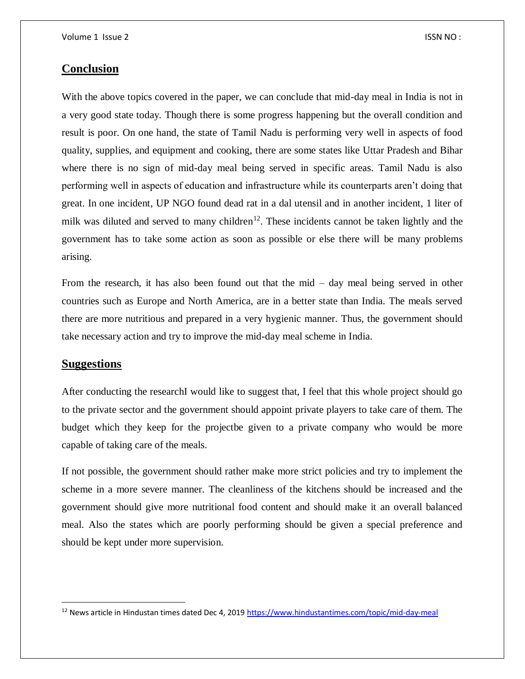#### **Conclusion**

With the above topics covered in the paper, we can conclude that mid-day meal in India is not in a very good state today. Though there is some progress happening but the overall condition and result is poor. On one hand, the state of Tamil Nadu is performing very well in aspects of food quality, supplies, and equipment and cooking, there are some states like Uttar Pradesh and Bihar where there is no sign of mid-day meal being served in specific areas. Tamil Nadu is also performing well in aspects of education and infrastructure while its counterparts aren't doing that great. In one incident, UP NGO found dead rat in a dal utensil and in another incident, 1 liter of milk was diluted and served to many children<sup>12</sup>. These incidents cannot be taken lightly and the government has to take some action as soon as possible or else there will be many problems arising.

From the research, it has also been found out that the mid – day meal being served in other countries such as Europe and North America, are in a better state than India. The meals served there are more nutritious and prepared in a very hygienic manner. Thus, the government should take necessary action and try to improve the mid-day meal scheme in India.

#### **Suggestions**

 $\overline{a}$ 

After conducting the researchI would like to suggest that, I feel that this whole project should go to the private sector and the government should appoint private players to take care of them. The budget which they keep for the projectbe given to a private company who would be more capable of taking care of the meals.

If not possible, the government should rather make more strict policies and try to implement the scheme in a more severe manner. The cleanliness of the kitchens should be increased and the government should give more nutritional food content and should make it an overall balanced meal. Also the states which are poorly performing should be given a special preference and should be kept under more supervision.

 $12$  News article in Hindustan times dated Dec 4, 201[9 https://www.hindustantimes.com/topic/mid-day-meal](https://www.hindustantimes.com/topic/mid-day-meal)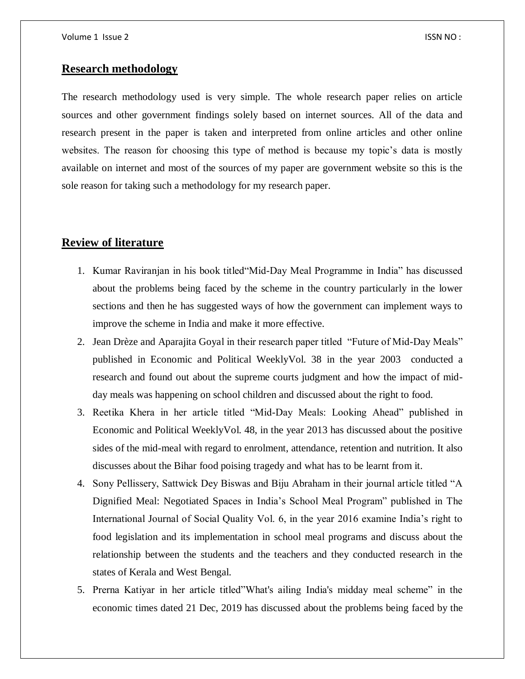#### **Research methodology**

The research methodology used is very simple. The whole research paper relies on article sources and other government findings solely based on internet sources. All of the data and research present in the paper is taken and interpreted from online articles and other online websites. The reason for choosing this type of method is because my topic's data is mostly available on internet and most of the sources of my paper are government website so this is the sole reason for taking such a methodology for my research paper.

## **Review of literature**

- 1. Kumar Raviranjan in his book titled"Mid-Day Meal Programme in India" has discussed about the problems being faced by the scheme in the country particularly in the lower sections and then he has suggested ways of how the government can implement ways to improve the scheme in India and make it more effective.
- 2. Jean Drèze and Aparajita Goyal in their research paper titled "Future of Mid-Day Meals" published in Economic and Political WeeklyVol. 38 in the year 2003 conducted a research and found out about the supreme courts judgment and how the impact of midday meals was happening on school children and discussed about the right to food.
- 3. Reetika Khera in her article titled "Mid-Day Meals: Looking Ahead" published in Economic and Political WeeklyVol. 48, in the year 2013 has discussed about the positive sides of the mid-meal with regard to enrolment, attendance, retention and nutrition. It also discusses about the Bihar food poising tragedy and what has to be learnt from it.
- 4. Sony Pellissery, Sattwick Dey Biswas and Biju Abraham in their journal article titled "A Dignified Meal: Negotiated Spaces in India's School Meal Program" published in The International Journal of Social Quality Vol. 6, in the year 2016 examine India's right to food legislation and its implementation in school meal programs and discuss about the relationship between the students and the teachers and they conducted research in the states of Kerala and West Bengal.
- 5. Prerna Katiyar in her article titled"What's ailing India's midday meal scheme" in the economic times dated 21 Dec, 2019 has discussed about the problems being faced by the